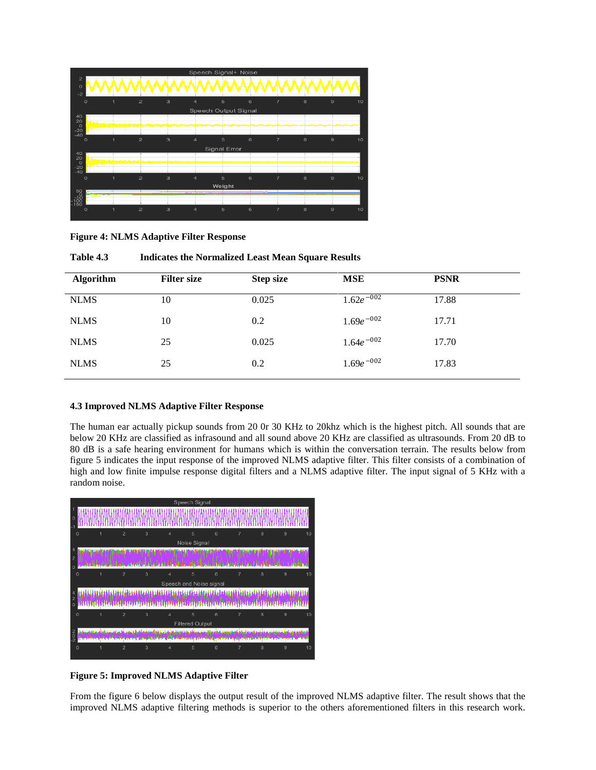| Speech Signal+ Noise                       |   |                                  |                  |                      |              |   |                |   |                      |
|--------------------------------------------|---|----------------------------------|------------------|----------------------|--------------|---|----------------|---|----------------------|
| $\overline{2}$<br>$\Omega$<br>$-2$         |   |                                  |                  |                      |              |   |                |   |                      |
| O                                          | 1 | $\mathbf{z}$<br>3                | 4                |                      | 5            | 6 | $\overline{7}$ | 8 | $\mathbf{9}$<br>10   |
|                                            |   |                                  |                  | Speech Output Signal |              |   |                |   |                      |
| 40<br>20                                   |   |                                  |                  |                      |              |   |                |   |                      |
| $_{-20}^{0}$<br>فقرضوا والمتألف استرزال    |   |                                  |                  |                      |              |   |                |   |                      |
| $-40$<br>$\circ$                           | 1 | $\overline{2}$<br>3              | 4                |                      | 5            | 6 | $\overline{7}$ | 8 | $\Theta$<br>10       |
|                                            |   |                                  |                  |                      | Signal Error |   |                |   |                      |
| $^{40}_{20}$                               |   |                                  |                  |                      |              |   |                |   |                      |
| $\circ$<br><b>Completed in the Company</b> |   |                                  |                  |                      |              |   |                |   |                      |
| $-20$<br>$-40$                             |   |                                  |                  |                      |              |   |                |   |                      |
| $\circ$                                    | и | $\overline{2}$<br>$\overline{3}$ | $\overline{a}$   |                      | 5            | 6 | $\overline{7}$ | 8 | $\overline{9}$<br>10 |
| 50                                         |   |                                  |                  |                      | Weight       |   |                |   |                      |
|                                            |   |                                  |                  |                      |              |   |                |   |                      |
| i šŏ                                       |   |                                  |                  |                      |              |   |                |   |                      |
| $\circ$                                    | 1 | $\overline{2}$<br>3              | $\boldsymbol{A}$ |                      | 5            | 6 | $\overline{7}$ | 8 | $\mathbf{9}$<br>10   |

**Figure 4: NLMS Adaptive Filter Response**

| <b>Algorithm</b> | <b>Filter size</b> | <b>Step size</b> | <b>MSE</b>      | <b>PSNR</b> |
|------------------|--------------------|------------------|-----------------|-------------|
| <b>NLMS</b>      | 10                 | 0.025            | $1.62e^{-0.02}$ | 17.88       |
| <b>NLMS</b>      | 10                 | 0.2              | $1.69e^{-002}$  | 17.71       |
| <b>NLMS</b>      | 25                 | 0.025            | $1.64e^{-002}$  | 17.70       |
| <b>NLMS</b>      | 25                 | 0.2              | $1.69e^{-002}$  | 17.83       |
|                  |                    |                  |                 |             |

**Table 4.3 Indicates the Normalized Least Mean Square Results**

# **4.3 Improved NLMS Adaptive Filter Response**

The human ear actually pickup sounds from 20 0r 30 KHz to 20khz which is the highest pitch. All sounds that are below 20 KHz are classified as infrasound and all sound above 20 KHz are classified as ultrasounds. From 20 dB to 80 dB is a safe hearing environment for humans which is within the conversation terrain. The results below from figure 5 indicates the input response of the improved NLMS adaptive filter. This filter consists of a combination of high and low finite impulse response digital filters and a NLMS adaptive filter. The input signal of 5 KHz with a random noise.



**Figure 5: Improved NLMS Adaptive Filter**

From the figure 6 below displays the output result of the improved NLMS adaptive filter. The result shows that the improved NLMS adaptive filtering methods is superior to the others aforementioned filters in this research work.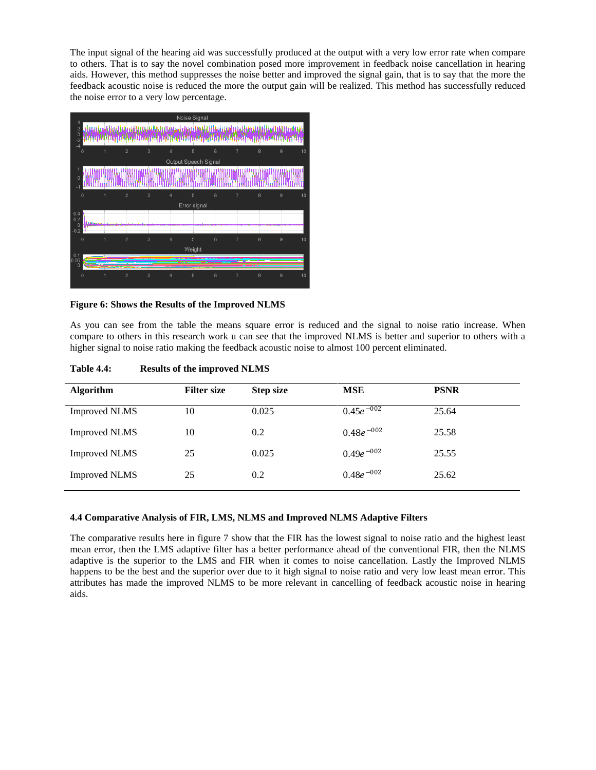The input signal of the hearing aid was successfully produced at the output with a very low error rate when compare to others. That is to say the novel combination posed more improvement in feedback noise cancellation in hearing aids. However, this method suppresses the noise better and improved the signal gain, that is to say that the more the feedback acoustic noise is reduced the more the output gain will be realized. This method has successfully reduced the noise error to a very low percentage.

|                                        |             |   |                |   |                      | Noise Signal |            |                |   |                |    |
|----------------------------------------|-------------|---|----------------|---|----------------------|--------------|------------|----------------|---|----------------|----|
| $\frac{4}{2}$<br>$\frac{2}{2}$<br>$-4$ |             |   |                |   |                      |              |            |                |   |                |    |
|                                        | 0           | 1 | $\overline{2}$ | 3 | 4                    | 5            | 6          | $\overline{7}$ | 8 | 9              | 10 |
|                                        |             |   |                |   | Output Speech Signal |              |            |                |   |                |    |
| 1<br>$\mathbf 0$<br>-1                 |             |   |                |   |                      |              |            |                |   |                |    |
|                                        | $\circ$     | 1 | $\overline{2}$ | 3 | 4                    | 5            | 6          | $\overline{7}$ | 8 | 9              | 10 |
|                                        |             |   |                |   |                      | Error signal |            |                |   |                |    |
| 0.4<br>0.2<br>$\circ$                  |             |   |                |   |                      |              |            |                |   |                |    |
| $-0.2$                                 | $\mathbf 0$ | 1 | $\overline{2}$ | 3 | $\overline{4}$       | 5            | $\sqrt{6}$ | $\overline{7}$ | 8 | 9              | 10 |
|                                        |             |   |                |   |                      | Weight       |            |                |   |                |    |
| $0.1$<br>$0.05$<br>$\circ$             |             |   |                |   |                      |              |            |                |   |                |    |
|                                        | $\circ$     |   | $\overline{2}$ | 3 | 4                    | 5            | 6          | $\overline{7}$ | 8 | $\overline{9}$ | 10 |

## **Figure 6: Shows the Results of the Improved NLMS**

As you can see from the table the means square error is reduced and the signal to noise ratio increase. When compare to others in this research work u can see that the improved NLMS is better and superior to others with a higher signal to noise ratio making the feedback acoustic noise to almost 100 percent eliminated.

| <b>Algorithm</b>     | <b>Filter size</b> | <b>Step size</b> | <b>MSE</b>     | <b>PSNR</b> |
|----------------------|--------------------|------------------|----------------|-------------|
| <b>Improved NLMS</b> | 10                 | 0.025            | $0.45e^{-002}$ | 25.64       |
| <b>Improved NLMS</b> | 10                 | 0.2              | $0.48e^{-002}$ | 25.58       |
| <b>Improved NLMS</b> | 25                 | 0.025            | $0.49e^{-002}$ | 25.55       |
| <b>Improved NLMS</b> | 25                 | 0.2              | $0.48e^{-002}$ | 25.62       |
|                      |                    |                  |                |             |

**Table 4.4: Results of the improved NLMS**

# **4.4 Comparative Analysis of FIR, LMS, NLMS and Improved NLMS Adaptive Filters**

The comparative results here in figure 7 show that the FIR has the lowest signal to noise ratio and the highest least mean error, then the LMS adaptive filter has a better performance ahead of the conventional FIR, then the NLMS adaptive is the superior to the LMS and FIR when it comes to noise cancellation. Lastly the Improved NLMS happens to be the best and the superior over due to it high signal to noise ratio and very low least mean error. This attributes has made the improved NLMS to be more relevant in cancelling of feedback acoustic noise in hearing aids.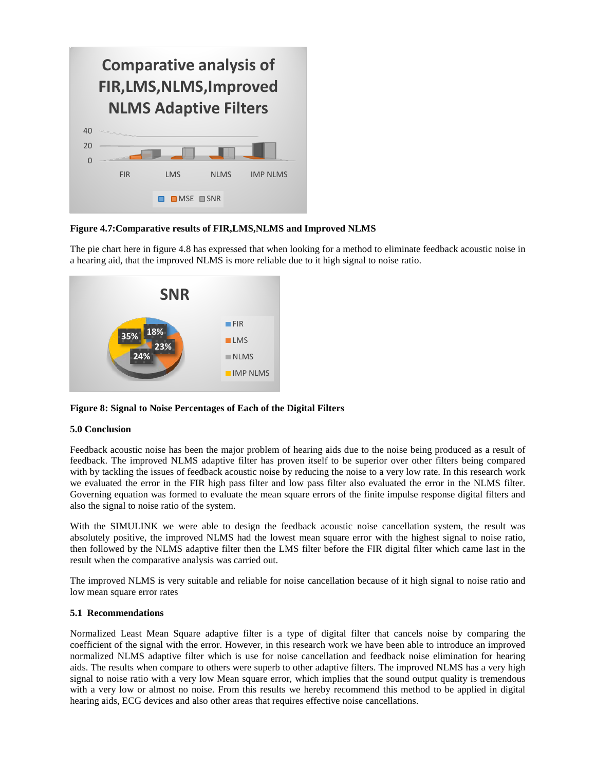|                |            | <b>Comparative analysis of</b><br>FIR, LMS, NLMS, Improved<br><b>NLMS Adaptive Filters</b> |             |                 |
|----------------|------------|--------------------------------------------------------------------------------------------|-------------|-----------------|
| 40             |            |                                                                                            |             |                 |
| 20<br>$\Omega$ |            |                                                                                            |             |                 |
|                | <b>FIR</b> | <b>IMS</b>                                                                                 | <b>NLMS</b> | <b>IMP NLMS</b> |
|                |            | $\blacksquare$ MSE $\blacksquare$ SNR                                                      |             |                 |

## **Figure 4.7:Comparative results of FIR,LMS,NLMS and Improved NLMS**

The pie chart here in figure 4.8 has expressed that when looking for a method to eliminate feedback acoustic noise in a hearing aid, that the improved NLMS is more reliable due to it high signal to noise ratio.



#### **5.0 Conclusion**

Feedback acoustic noise has been the major problem of hearing aids due to the noise being produced as a result of feedback. The improved NLMS adaptive filter has proven itself to be superior over other filters being compared with by tackling the issues of feedback acoustic noise by reducing the noise to a very low rate. In this research work we evaluated the error in the FIR high pass filter and low pass filter also evaluated the error in the NLMS filter. Governing equation was formed to evaluate the mean square errors of the finite impulse response digital filters and also the signal to noise ratio of the system.

With the SIMULINK we were able to design the feedback acoustic noise cancellation system, the result was absolutely positive, the improved NLMS had the lowest mean square error with the highest signal to noise ratio, then followed by the NLMS adaptive filter then the LMS filter before the FIR digital filter which came last in the result when the comparative analysis was carried out.

The improved NLMS is very suitable and reliable for noise cancellation because of it high signal to noise ratio and low mean square error rates

#### **5.1 Recommendations**

Normalized Least Mean Square adaptive filter is a type of digital filter that cancels noise by comparing the coefficient of the signal with the error. However, in this research work we have been able to introduce an improved normalized NLMS adaptive filter which is use for noise cancellation and feedback noise elimination for hearing aids. The results when compare to others were superb to other adaptive filters. The improved NLMS has a very high signal to noise ratio with a very low Mean square error, which implies that the sound output quality is tremendous with a very low or almost no noise. From this results we hereby recommend this method to be applied in digital hearing aids, ECG devices and also other areas that requires effective noise cancellations.